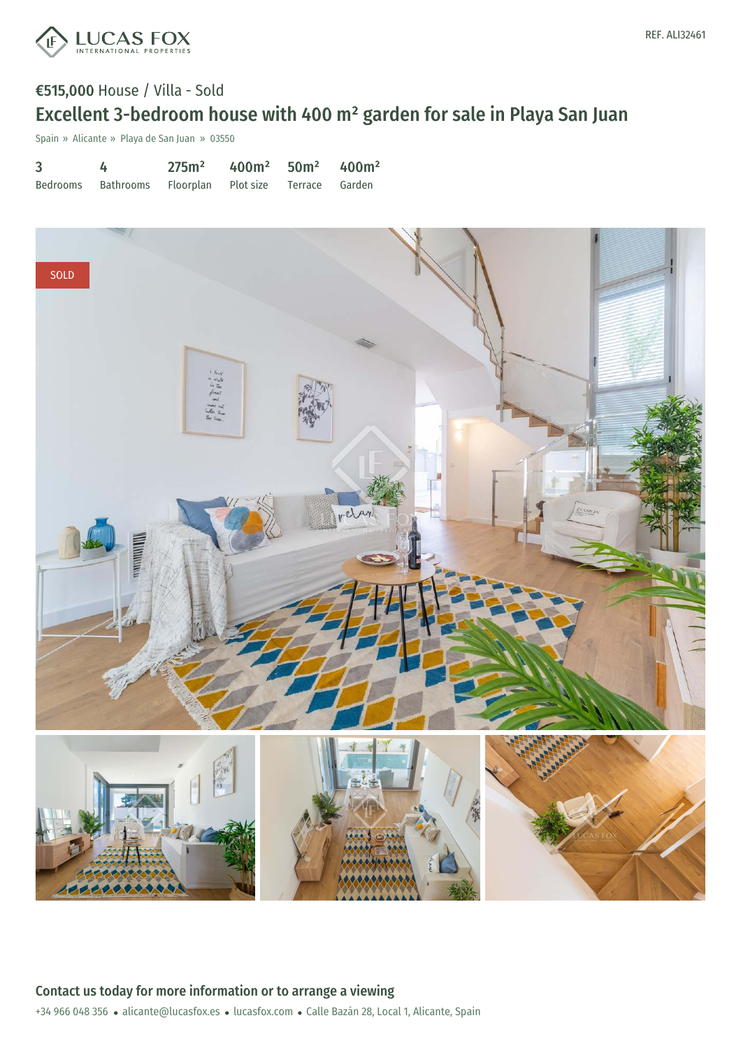

## €515,000 House / Villa - Sold Excellent 3-bedroom house with 400 m² garden for sale in Playa San Juan

Spain » Alicante » Playa de San Juan » 03550

| 3 | 4                                                     | 275m <sup>2</sup> | $400m^2$ 50m <sup>2</sup> 400m <sup>2</sup> |  |
|---|-------------------------------------------------------|-------------------|---------------------------------------------|--|
|   | Bedrooms Bathrooms Floorplan Plot size Terrace Garden |                   |                                             |  |

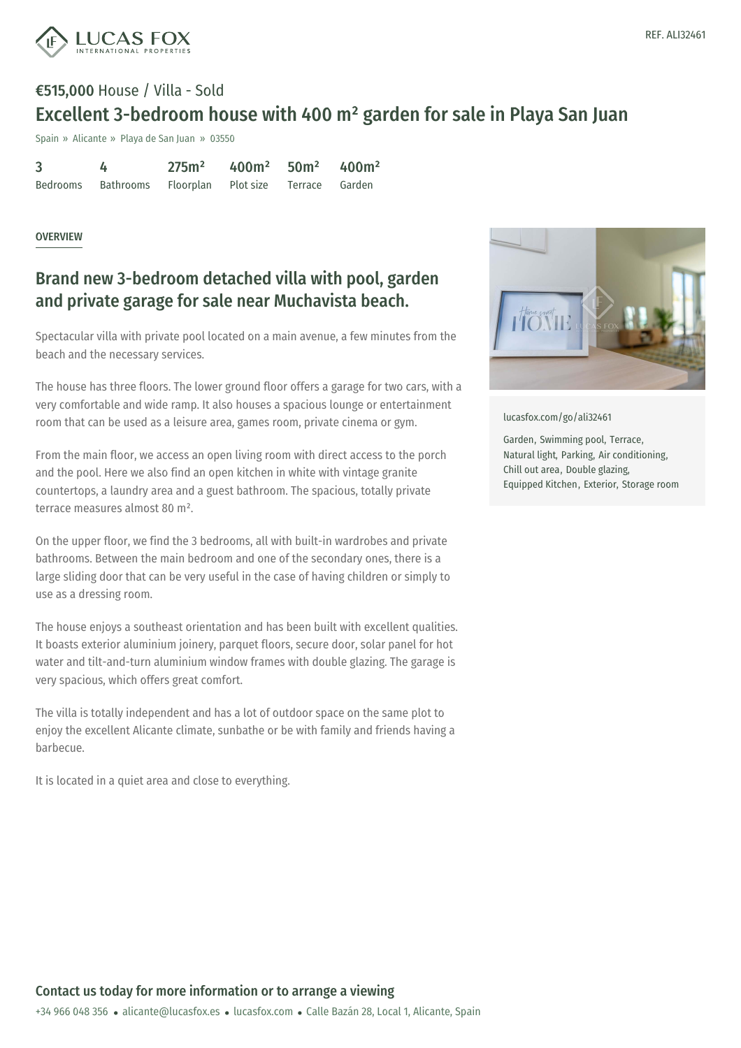

## €515,000 House / Villa - Sold Excellent 3-bedroom house with 400 m² garden for sale in Playa San Juan

Spain » Alicante » Playa de San Juan » 03550

| 3 | 4                                                     | 275m <sup>2</sup> | $400m^2$ 50m <sup>2</sup> 400m <sup>2</sup> |  |
|---|-------------------------------------------------------|-------------------|---------------------------------------------|--|
|   | Bedrooms Bathrooms Floorplan Plot size Terrace Garden |                   |                                             |  |

## OVERVIEW

## Brand new 3-bedroom detached villa with pool, garden and private garage for sale near Muchavista beach.

Spectacular villa with private pool located on a main avenue, a few minutes from the beach and the necessary services.

The house has three floors. The lower ground floor offers a garage for two cars, with a very comfortable and wide ramp. It also houses a spacious lounge or entertainment room that can be used as a leisure area, games room, private cinema or gym.

From the main floor, we access an open living room with direct access to the porch and the pool. Here we also find an open kitchen in white with vintage granite countertops, a laundry area and a guest bathroom. The spacious, totally private terrace measures almost 80 m².

On the upper floor, we find the 3 bedrooms, all with built-in wardrobes and private bathrooms. Between the main bedroom and one of the secondary ones, there is a large sliding door that can be very useful in the case of having children or simply to use as a dressing room.

The house enjoys a southeast orientation and has been built with excellent qualities. It boasts exterior aluminium joinery, parquet floors, secure door, solar panel for hot water and tilt-and-turn aluminium window frames with double glazing. The garage is very spacious, which offers great comfort.

The villa is totally independent and has a lot of outdoor space on the same plot to enjoy the excellent Alicante climate, sunbathe or be with family and friends having a barbecue.

It is located in a quiet area and [close](mailto:alicante@lucasfox.es) to [everything.](https://www.lucasfox.com)



[lucasfox.com/go/ali32461](https://www.lucasfox.com/go/ali32461)

Garden, Swimming pool, Terrace, Natural light, Parking, Air conditioning, Chill out area, Double glazing, Equipped Kitchen, Exterior, Storage room